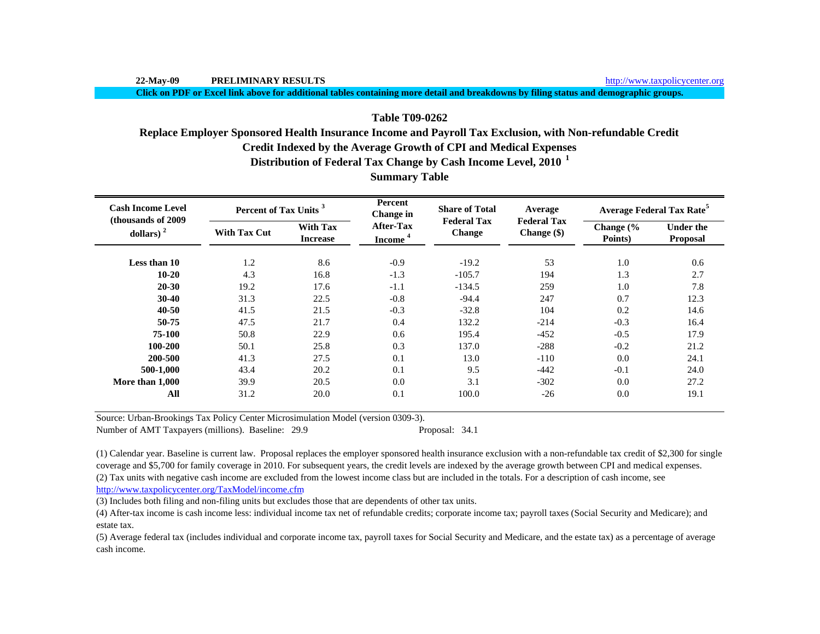**Click on PDF or Excel link above for additional tables containing more detail and breakdowns by filing status and demographic groups.**

# **Table T09-0262**

# **Replace Employer Sponsored Health Insurance Income and Payroll Tax Exclusion, with Non-refundable Credit**

**Credit Indexed by the Average Growth of CPI and Medical Expenses**

**Distribution of Federal Tax Change by Cash Income Level, 2010 <sup>1</sup>**

| <b>Cash Income Level</b><br>(thousands of 2009) | Percent of Tax Units <sup>3</sup> |                                    | Percent<br>Change in                    | <b>Share of Total</b>               | Average                           | <b>Average Federal Tax Rate<sup>5</sup></b> |                                     |  |
|-------------------------------------------------|-----------------------------------|------------------------------------|-----------------------------------------|-------------------------------------|-----------------------------------|---------------------------------------------|-------------------------------------|--|
| dollars) $2$                                    | With Tax Cut                      | <b>With Tax</b><br><b>Increase</b> | <b>After-Tax</b><br>Income <sup>4</sup> | <b>Federal Tax</b><br><b>Change</b> | <b>Federal Tax</b><br>Change (\$) | Change (%<br>Points)                        | <b>Under the</b><br><b>Proposal</b> |  |
| Less than 10                                    | 1.2                               | 8.6                                | $-0.9$                                  | $-19.2$                             | 53                                | 1.0                                         | 0.6                                 |  |
| $10 - 20$                                       | 4.3                               | 16.8                               | $-1.3$                                  | $-105.7$                            | 194                               | 1.3                                         | 2.7                                 |  |
| $20 - 30$                                       | 19.2                              | 17.6                               | $-1.1$                                  | $-134.5$                            | 259                               | 1.0                                         | 7.8                                 |  |
| $30 - 40$                                       | 31.3                              | 22.5                               | $-0.8$                                  | $-94.4$                             | 247                               | 0.7                                         | 12.3                                |  |
| $40 - 50$                                       | 41.5                              | 21.5                               | $-0.3$                                  | $-32.8$                             | 104                               | 0.2                                         | 14.6                                |  |
| 50-75                                           | 47.5                              | 21.7                               | 0.4                                     | 132.2                               | $-214$                            | $-0.3$                                      | 16.4                                |  |
| 75-100                                          | 50.8                              | 22.9                               | 0.6                                     | 195.4                               | $-452$                            | $-0.5$                                      | 17.9                                |  |
| 100-200                                         | 50.1                              | 25.8                               | 0.3                                     | 137.0                               | $-288$                            | $-0.2$                                      | 21.2                                |  |
| 200-500                                         | 41.3                              | 27.5                               | 0.1                                     | 13.0                                | $-110$                            | 0.0                                         | 24.1                                |  |
| 500-1,000                                       | 43.4                              | 20.2                               | 0.1                                     | 9.5                                 | $-442$                            | $-0.1$                                      | 24.0                                |  |
| More than 1.000                                 | 39.9                              | 20.5                               | 0.0                                     | 3.1                                 | $-302$                            | 0.0                                         | 27.2                                |  |
| All                                             | 31.2                              | 20.0                               | 0.1                                     | 100.0                               | $-26$                             | 0.0                                         | 19.1                                |  |

**Summary Table**

Source: Urban-Brookings Tax Policy Center Microsimulation Model (version 0309-3).

Number of AMT Taxpayers (millions). Baseline: 29.9 Proposal: 34.1

(2) Tax units with negative cash income are excluded from the lowest income class but are included in the totals. For a description of cash income, see http://www.taxpolicycenter.org/TaxModel/income.cfm (1) Calendar year. Baseline is current law. Proposal replaces the employer sponsored health insurance exclusion with a non-refundable tax credit of \$2,300 for single coverage and \$5,700 for family coverage in 2010. For subsequent years, the credit levels are indexed by the average growth between CPI and medical expenses.

(3) Includes both filing and non-filing units but excludes those that are dependents of other tax units.

(4) After-tax income is cash income less: individual income tax net of refundable credits; corporate income tax; payroll taxes (Social Security and Medicare); and estate tax.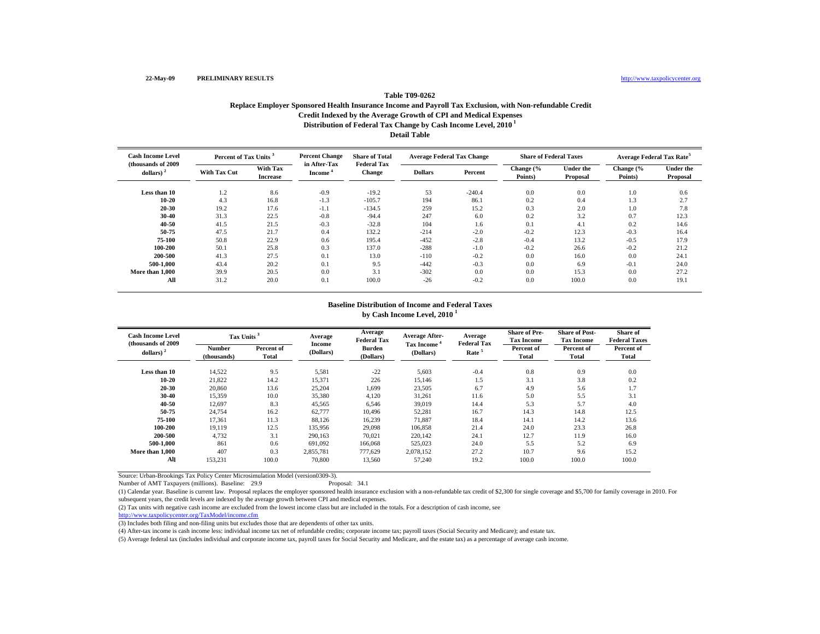# **Distribution of Federal Tax Change by Cash Income Level, 2010 1 Detail Table Table T09-0262Replace Employer Sponsored Health Insurance Income and Payroll Tax Exclusion, with Non-refundable Credit Credit Indexed by the Average Growth of CPI and Medical Expenses**

| <b>Cash Income Level</b><br>(thousands of 2009) |                     | <b>Percent Change</b><br>Percent of Tax Units <sup>3</sup> |                        | <b>Share of Total</b><br><b>Federal Tax</b> | <b>Average Federal Tax Change</b> |          | <b>Share of Federal Taxes</b> |                              | <b>Average Federal Tax Rate<sup>5</sup></b> |                              |
|-------------------------------------------------|---------------------|------------------------------------------------------------|------------------------|---------------------------------------------|-----------------------------------|----------|-------------------------------|------------------------------|---------------------------------------------|------------------------------|
| dollars) $2$                                    | <b>With Tax Cut</b> | With Tax<br><b>Increase</b>                                | in After-Tax<br>Income | Change                                      | <b>Dollars</b>                    | Percent  | Change (%<br>Points)          | <b>Under the</b><br>Proposal | Change (%<br>Points)                        | <b>Under the</b><br>Proposal |
| Less than 10                                    | 1.2                 | 8.6                                                        | $-0.9$                 | $-19.2$                                     | 53                                | $-240.4$ | 0.0                           | 0.0                          | 1.0                                         | 0.6                          |
| $10 - 20$                                       | 4.3                 | 16.8                                                       | $-1.3$                 | $-105.7$                                    | 194                               | 86.1     | 0.2                           | 0.4                          | 1.3                                         | 2.7                          |
| $20 - 30$                                       | 19.2                | 17.6                                                       | $-1.1$                 | $-134.5$                                    | 259                               | 15.2     | 0.3                           | 2.0                          | 1.0                                         | 7.8                          |
| 30-40                                           | 31.3                | 22.5                                                       | $-0.8$                 | $-94.4$                                     | 247                               | 6.0      | 0.2                           | 3.2                          | 0.7                                         | 12.3                         |
| 40-50                                           | 41.5                | 21.5                                                       | $-0.3$                 | $-32.8$                                     | 104                               | 1.6      | 0.1                           | 4.1                          | 0.2                                         | 14.6                         |
| 50-75                                           | 47.5                | 21.7                                                       | 0.4                    | 132.2                                       | $-214$                            | $-2.0$   | $-0.2$                        | 12.3                         | $-0.3$                                      | 16.4                         |
| 75-100                                          | 50.8                | 22.9                                                       | 0.6                    | 195.4                                       | $-452$                            | $-2.8$   | $-0.4$                        | 13.2                         | $-0.5$                                      | 17.9                         |
| 100-200                                         | 50.1                | 25.8                                                       | 0.3                    | 137.0                                       | $-288$                            | $-1.0$   | $-0.2$                        | 26.6                         | $-0.2$                                      | 21.2                         |
| 200-500                                         | 41.3                | 27.5                                                       | 0.1                    | 13.0                                        | $-110$                            | $-0.2$   | 0.0                           | 16.0                         | 0.0                                         | 24.1                         |
| 500-1.000                                       | 43.4                | 20.2                                                       | 0.1                    | 9.5                                         | $-442$                            | $-0.3$   | 0.0                           | 6.9                          | $-0.1$                                      | 24.0                         |
| More than 1,000                                 | 39.9                | 20.5                                                       | 0.0                    | 3.1                                         | $-302$                            | 0.0      | 0.0                           | 15.3                         | 0.0                                         | 27.2                         |
| All                                             | 31.2                | 20.0                                                       | 0.1                    | 100.0                                       | $-26$                             | $-0.2$   | 0.0                           | 100.0                        | 0.0                                         | 19.1                         |

#### **Baseline Distribution of Income and Federal Taxes by Cash Income Level, 2010 <sup>1</sup>**

| <b>Cash Income Level</b><br>(thousands of 2009) | Tax Units <sup>3</sup>       |                     | Average<br>Income | Average<br><b>Federal Tax</b> | <b>Average After-</b>   | Average<br><b>Federal Tax</b> | <b>Share of Pre-</b><br><b>Tax Income</b> | <b>Share of Post-</b><br><b>Tax Income</b> | Share of<br><b>Federal Taxes</b> |
|-------------------------------------------------|------------------------------|---------------------|-------------------|-------------------------------|-------------------------|-------------------------------|-------------------------------------------|--------------------------------------------|----------------------------------|
| dollars) $2$                                    | <b>Number</b><br>(thousands) | Percent of<br>Total | (Dollars)         | <b>Burden</b><br>(Dollars)    | Tax Income<br>(Dollars) | Rate <sup>5</sup>             | Percent of<br>Total                       | Percent of<br>Total                        | Percent of<br>Total              |
| Less than 10                                    | 14.522                       | 9.5                 | 5,581             | $-22$                         | 5,603                   | $-0.4$                        | 0.8                                       | 0.9                                        | 0.0                              |
| $10 - 20$                                       | 21,822                       | 14.2                | 15,371            | 226                           | 15,146                  | 1.5                           | 3.1                                       | 3.8                                        | 0.2                              |
| 20-30                                           | 20,860                       | 13.6                | 25,204            | 1,699                         | 23,505                  | 6.7                           | 4.9                                       | 5.6                                        | 1.7                              |
| 30-40                                           | 15,359                       | 10.0                | 35,380            | 4,120                         | 31,261                  | 11.6                          | 5.0                                       | 5.5                                        | 3.1                              |
| 40-50                                           | 12,697                       | 8.3                 | 45,565            | 6,546                         | 39,019                  | 14.4                          | 5.3                                       | 5.7                                        | 4.0                              |
| 50-75                                           | 24,754                       | 16.2                | 62,777            | 10.496                        | 52,281                  | 16.7                          | 14.3                                      | 14.8                                       | 12.5                             |
| 75-100                                          | 17,361                       | 11.3                | 88,126            | 16,239                        | 71,887                  | 18.4                          | 14.1                                      | 14.2                                       | 13.6                             |
| 100-200                                         | 19,119                       | 12.5                | 135,956           | 29,098                        | 106,858                 | 21.4                          | 24.0                                      | 23.3                                       | 26.8                             |
| 200-500                                         | 4,732                        | 3.1                 | 290,163           | 70,021                        | 220,142                 | 24.1                          | 12.7                                      | 11.9                                       | 16.0                             |
| 500-1.000                                       | 861                          | 0.6                 | 691.092           | 166,068                       | 525,023                 | 24.0                          | 5.5                                       | 5.2                                        | 6.9                              |
| More than 1.000                                 | 407                          | 0.3                 | 2,855,781         | 777,629                       | 2.078.152               | 27.2                          | 10.7                                      | 9.6                                        | 15.2                             |
| All                                             | 153,231                      | 100.0               | 70,800            | 13,560                        | 57,240                  | 19.2                          | 100.0                                     | 100.0                                      | 100.0                            |

Source: Urban-Brookings Tax Policy Center Microsimulation Model (version0309-3).

Number of AMT Taxpayers (millions). Baseline: 29.9

(1) Calendar year. Baseline is current law. Proposal replaces the employer sponsored health insurance exclusion with a non-refundable tax credit of \$2,300 for single coverage and \$5,700 for family coverage in 2010. For subsequent years, the credit levels are indexed by the average growth between CPI and medical expenses.

(2) Tax units with negative cash income are excluded from the lowest income class but are included in the totals. For a description of cash income, see

http://www.taxpolicycenter.org/TaxModel/income.cfm

(3) Includes both filing and non-filing units but excludes those that are dependents of other tax units.

(4) After-tax income is cash income less: individual income tax net of refundable credits; corporate income tax; payroll taxes (Social Security and Medicare); and estate tax.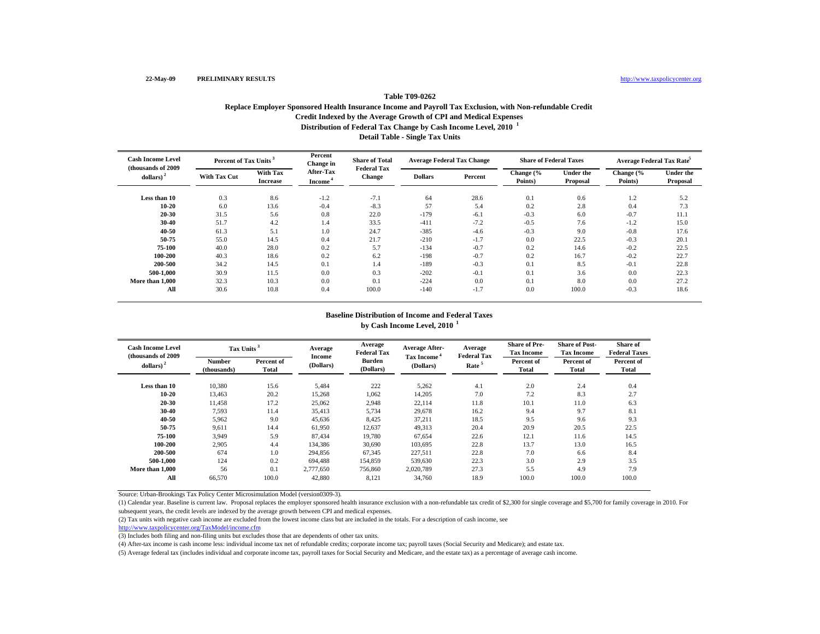# **Distribution of Federal Tax Change by Cash Income Level, 2010 <sup>1</sup> Detail Table - Single Tax Units Table T09-0262 Replace Employer Sponsored Health Insurance Income and Payroll Tax Exclusion, with Non-refundable Credit Credit Indexed by the Average Growth of CPI and Medical Expenses**

| <b>Cash Income Level</b><br>(thousands of 2009) | Percent of Tax Units <sup>3</sup> |                             | Percent<br>Change in                    | <b>Share of Total</b>               | <b>Average Federal Tax Change</b> |         | <b>Share of Federal Taxes</b> |                              | Average Federal Tax Rate <sup>5</sup> |                              |
|-------------------------------------------------|-----------------------------------|-----------------------------|-----------------------------------------|-------------------------------------|-----------------------------------|---------|-------------------------------|------------------------------|---------------------------------------|------------------------------|
| dollars) <sup>2</sup>                           | <b>With Tax Cut</b>               | With Tax<br><b>Increase</b> | <b>After-Tax</b><br>Income <sup>®</sup> | <b>Federal Tax</b><br><b>Change</b> | <b>Dollars</b>                    | Percent | Change (%<br>Points)          | <b>Under the</b><br>Proposal | Change (%<br>Points)                  | <b>Under the</b><br>Proposal |
| Less than 10                                    | 0.3                               | 8.6                         | $-1.2$                                  | $-7.1$                              | 64                                | 28.6    | 0.1                           | 0.6                          | 1.2                                   | 5.2                          |
| $10 - 20$                                       | 6.0                               | 13.6                        | $-0.4$                                  | $-8.3$                              | 57                                | 5.4     | 0.2                           | 2.8                          | 0.4                                   | 7.3                          |
| 20-30                                           | 31.5                              | 5.6                         | 0.8                                     | 22.0                                | $-179$                            | $-6.1$  | $-0.3$                        | 6.0                          | $-0.7$                                | 11.1                         |
| 30-40                                           | 51.7                              | 4.2                         | 1.4                                     | 33.5                                | $-411$                            | $-7.2$  | $-0.5$                        | 7.6                          | $-1.2$                                | 15.0                         |
| 40-50                                           | 61.3                              | 5.1                         | 1.0                                     | 24.7                                | $-385$                            | $-4.6$  | $-0.3$                        | 9.0                          | $-0.8$                                | 17.6                         |
| 50-75                                           | 55.0                              | 14.5                        | 0.4                                     | 21.7                                | $-210$                            | $-1.7$  | 0.0                           | 22.5                         | $-0.3$                                | 20.1                         |
| 75-100                                          | 40.0                              | 28.0                        | 0.2                                     | 5.7                                 | $-134$                            | $-0.7$  | 0.2                           | 14.6                         | $-0.2$                                | 22.5                         |
| 100-200                                         | 40.3                              | 18.6                        | 0.2                                     | 6.2                                 | $-198$                            | $-0.7$  | 0.2                           | 16.7                         | $-0.2$                                | 22.7                         |
| 200-500                                         | 34.2                              | 14.5                        | 0.1                                     | 1.4                                 | $-189$                            | $-0.3$  | 0.1                           | 8.5                          | $-0.1$                                | 22.8                         |
| 500-1.000                                       | 30.9                              | 11.5                        | 0.0                                     | 0.3                                 | $-202$                            | $-0.1$  | 0.1                           | 3.6                          | 0.0                                   | 22.3                         |
| More than 1,000                                 | 32.3                              | 10.3                        | 0.0                                     | 0.1                                 | $-224$                            | 0.0     | 0.1                           | 8.0                          | 0.0                                   | 27.2                         |
| All                                             | 30.6                              | 10.8                        | 0.4                                     | 100.0                               | $-140$                            | $-1.7$  | 0.0                           | 100.0                        | $-0.3$                                | 18.6                         |

### **Baseline Distribution of Income and Federal Taxes by Cash Income Level, 2010 <sup>1</sup>**

| <b>Cash Income Level</b><br>(thousands of 2009) | Tax Units <sup>3</sup>       |                     | Average             | Average<br><b>Federal Tax</b> | <b>Average After-</b>                | Average<br><b>Federal Tax</b> | <b>Share of Pre-</b><br><b>Tax Income</b> | <b>Share of Post-</b><br><b>Tax Income</b> | <b>Share of</b><br><b>Federal Taxes</b> |
|-------------------------------------------------|------------------------------|---------------------|---------------------|-------------------------------|--------------------------------------|-------------------------------|-------------------------------------------|--------------------------------------------|-----------------------------------------|
| dollars) <sup>2</sup>                           | <b>Number</b><br>(thousands) | Percent of<br>Total | Income<br>(Dollars) | Burden<br>(Dollars)           | Tax Income <sup>*</sup><br>(Dollars) | Rate <sup>5</sup>             | Percent of<br><b>Total</b>                | Percent of<br>Total                        | Percent of<br><b>Total</b>              |
| Less than 10                                    | 10,380                       | 15.6                | 5,484               | 222                           | 5,262                                | 4.1                           | 2.0                                       | 2.4                                        | 0.4                                     |
| 10-20                                           | 13,463                       | 20.2                | 15,268              | 1,062                         | 14,205                               | 7.0                           | 7.2                                       | 8.3                                        | 2.7                                     |
| 20-30                                           | 11,458                       | 17.2                | 25,062              | 2,948                         | 22,114                               | 11.8                          | 10.1                                      | 11.0                                       | 6.3                                     |
| 30-40                                           | 7,593                        | 11.4                | 35,413              | 5,734                         | 29,678                               | 16.2                          | 9.4                                       | 9.7                                        | 8.1                                     |
| 40-50                                           | 5,962                        | 9.0                 | 45,636              | 8,425                         | 37,211                               | 18.5                          | 9.5                                       | 9.6                                        | 9.3                                     |
| 50-75                                           | 9,611                        | 14.4                | 61,950              | 12,637                        | 49,313                               | 20.4                          | 20.9                                      | 20.5                                       | 22.5                                    |
| 75-100                                          | 3.949                        | 5.9                 | 87.434              | 19.780                        | 67.654                               | 22.6                          | 12.1                                      | 11.6                                       | 14.5                                    |
| 100-200                                         | 2,905                        | 4.4                 | 134,386             | 30,690                        | 103.695                              | 22.8                          | 13.7                                      | 13.0                                       | 16.5                                    |
| 200-500                                         | 674                          | 1.0                 | 294,856             | 67,345                        | 227,511                              | 22.8                          | 7.0                                       | 6.6                                        | 8.4                                     |
| 500-1.000                                       | 124                          | 0.2                 | 694.488             | 154,859                       | 539,630                              | 22.3                          | 3.0                                       | 2.9                                        | 3.5                                     |
| More than 1,000                                 | 56                           | 0.1                 | 2,777,650           | 756,860                       | 2,020,789                            | 27.3                          | 5.5                                       | 4.9                                        | 7.9                                     |
| All                                             | 66,570                       | 100.0               | 42.880              | 8,121                         | 34,760                               | 18.9                          | 100.0                                     | 100.0                                      | 100.0                                   |

Source: Urban-Brookings Tax Policy Center Microsimulation Model (version0309-3).

(1) Calendar year. Baseline is current law. Proposal replaces the employer sponsored health insurance exclusion with a non-refundable tax credit of \$2,300 for single coverage and \$5,700 for family coverage in 2010. For subsequent years, the credit levels are indexed by the average growth between CPI and medical expenses.

(2) Tax units with negative cash income are excluded from the lowest income class but are included in the totals. For a description of cash income, see

http://www.taxpolicycenter.org/TaxModel/income.cfm

(3) Includes both filing and non-filing units but excludes those that are dependents of other tax units.

(4) After-tax income is cash income less: individual income tax net of refundable credits; corporate income tax; payroll taxes (Social Security and Medicare); and estate tax.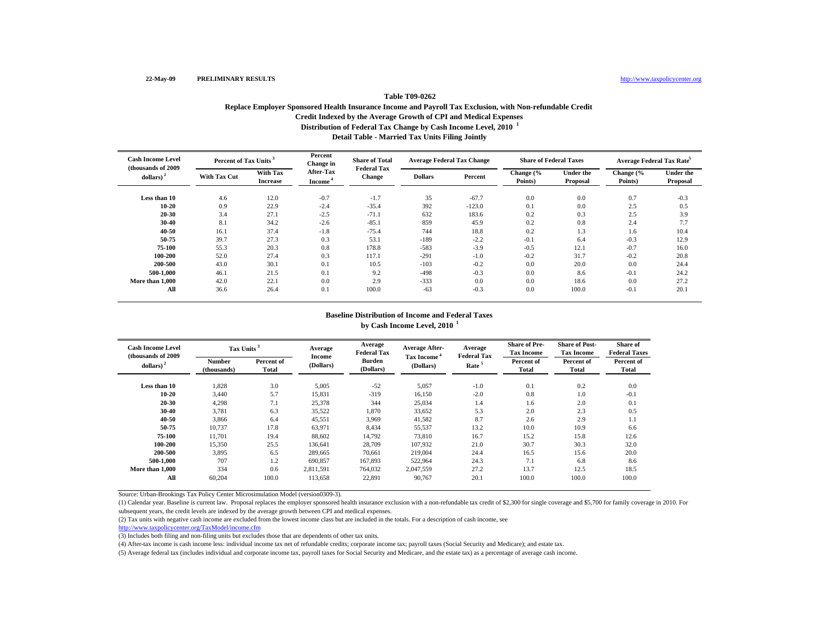# **Distribution of Federal Tax Change by Cash Income Level, 2010 <sup>1</sup> Detail Table - Married Tax Units Filing Jointly Table T09-0262 Replace Employer Sponsored Health Insurance Income and Payroll Tax Exclusion, with Non-refundable Credit Credit Indexed by the Average Growth of CPI and Medical Expenses**

| <b>Cash Income Level</b><br>(thousands of 2009) |                     | Percent of Tax Units <sup>3</sup> |                            | <b>Share of Total</b><br><b>Federal Tax</b> | <b>Average Federal Tax Change</b> |          | <b>Share of Federal Taxes</b> |                              | Average Federal Tax Rate <sup>5</sup> |                              |
|-------------------------------------------------|---------------------|-----------------------------------|----------------------------|---------------------------------------------|-----------------------------------|----------|-------------------------------|------------------------------|---------------------------------------|------------------------------|
| $\boldsymbol{\mathrm{dollars}}$ ) <sup>2</sup>  | <b>With Tax Cut</b> | With Tax<br><b>Increase</b>       | After-Tax<br><b>Income</b> | <b>Change</b>                               | <b>Dollars</b>                    | Percent  | Change (%<br>Points)          | <b>Under the</b><br>Proposal | Change (%<br>Points)                  | <b>Under the</b><br>Proposal |
| Less than 10                                    | 4.6                 | 12.0                              | $-0.7$                     | $-1.7$                                      | 35                                | $-67.7$  | 0.0                           | 0.0                          | 0.7                                   | $-0.3$                       |
| 10-20                                           | 0.9                 | 22.9                              | $-2.4$                     | $-35.4$                                     | 392                               | $-123.0$ | 0.1                           | 0.0                          | 2.5                                   | 0.5                          |
| 20-30                                           | 3.4                 | 27.1                              | $-2.5$                     | $-71.1$                                     | 632                               | 183.6    | 0.2                           | 0.3                          | 2.5                                   | 3.9                          |
| 30-40                                           | 8.1                 | 34.2                              | $-2.6$                     | $-85.1$                                     | 859                               | 45.9     | 0.2                           | 0.8                          | 2.4                                   | 7.7                          |
| 40-50                                           | 16.1                | 37.4                              | $-1.8$                     | $-75.4$                                     | 744                               | 18.8     | 0.2                           | 1.3                          | 1.6                                   | 10.4                         |
| 50-75                                           | 39.7                | 27.3                              | 0.3                        | 53.1                                        | $-189$                            | $-2.2$   | $-0.1$                        | 6.4                          | $-0.3$                                | 12.9                         |
| 75-100                                          | 55.3                | 20.3                              | 0.8                        | 178.8                                       | $-583$                            | $-3.9$   | $-0.5$                        | 12.1                         | $-0.7$                                | 16.0                         |
| 100-200                                         | 52.0                | 27.4                              | 0.3                        | 117.1                                       | $-291$                            | $-1.0$   | $-0.2$                        | 31.7                         | $-0.2$                                | 20.8                         |
| 200-500                                         | 43.0                | 30.1                              | 0.1                        | 10.5                                        | $-103$                            | $-0.2$   | 0.0                           | 20.0                         | 0.0                                   | 24.4                         |
| 500-1.000                                       | 46.1                | 21.5                              | 0.1                        | 9.2                                         | $-498$                            | $-0.3$   | 0.0                           | 8.6                          | $-0.1$                                | 24.2                         |
| More than 1,000                                 | 42.0                | 22.1                              | 0.0                        | 2.9                                         | $-333$                            | 0.0      | 0.0                           | 18.6                         | 0.0                                   | 27.2                         |
| All                                             | 36.6                | 26.4                              | 0.1                        | 100.0                                       | $-63$                             | $-0.3$   | 0.0                           | 100.0                        | $-0.1$                                | 20.1                         |

### **Baseline Distribution of Income and Federal Taxes by Cash Income Level, 2010 <sup>1</sup>**

| <b>Cash Income Level</b><br>(thousands of 2009) | Tax Units <sup>3</sup>       |                     | Average             | Average<br><b>Federal Tax</b> | <b>Average After-</b><br>Tax Income <sup>4</sup> | Average<br><b>Federal Tax</b> | <b>Share of Pre-</b><br><b>Tax Income</b> | <b>Share of Post-</b><br><b>Tax Income</b> | <b>Share of</b><br><b>Federal Taxes</b> |
|-------------------------------------------------|------------------------------|---------------------|---------------------|-------------------------------|--------------------------------------------------|-------------------------------|-------------------------------------------|--------------------------------------------|-----------------------------------------|
| dollars) <sup>2</sup>                           | <b>Number</b><br>(thousands) | Percent of<br>Total | Income<br>(Dollars) | Burden<br>(Dollars)           | (Dollars)                                        | Rate <sup>5</sup>             | Percent of<br><b>Total</b>                | Percent of<br>Total                        | Percent of<br><b>Total</b>              |
| Less than 10                                    | 1,828                        | 3.0                 | 5,005               | $-52$                         | 5,057                                            | $-1.0$                        | 0.1                                       | 0.2                                        | 0.0                                     |
| 10-20                                           | 3.440                        | 5.7                 | 15,831              | $-319$                        | 16,150                                           | $-2.0$                        | 0.8                                       | 1.0                                        | $-0.1$                                  |
| 20-30                                           | 4,298                        | 7.1                 | 25,378              | 344                           | 25,034                                           | 1.4                           | 1.6                                       | 2.0                                        | 0.1                                     |
| 30-40                                           | 3,781                        | 6.3                 | 35,522              | 1,870                         | 33,652                                           | 5.3                           | 2.0                                       | 2.3                                        | 0.5                                     |
| 40-50                                           | 3,866                        | 6.4                 | 45,551              | 3,969                         | 41,582                                           | 8.7                           | 2.6                                       | 2.9                                        | 1.1                                     |
| 50-75                                           | 10,737                       | 17.8                | 63,971              | 8,434                         | 55,537                                           | 13.2                          | 10.0                                      | 10.9                                       | 6.6                                     |
| 75-100                                          | 11.701                       | 19.4                | 88,602              | 14.792                        | 73.810                                           | 16.7                          | 15.2                                      | 15.8                                       | 12.6                                    |
| 100-200                                         | 15.350                       | 25.5                | 136.641             | 28,709                        | 107.932                                          | 21.0                          | 30.7                                      | 30.3                                       | 32.0                                    |
| 200-500                                         | 3,895                        | 6.5                 | 289,665             | 70,661                        | 219,004                                          | 24.4                          | 16.5                                      | 15.6                                       | 20.0                                    |
| 500-1.000                                       | 707                          | 1.2                 | 690,857             | 167,893                       | 522,964                                          | 24.3                          | 7.1                                       | 6.8                                        | 8.6                                     |
| More than 1,000                                 | 334                          | 0.6                 | 2,811,591           | 764,032                       | 2,047,559                                        | 27.2                          | 13.7                                      | 12.5                                       | 18.5                                    |
| All                                             | 60,204                       | 100.0               | 113.658             | 22,891                        | 90,767                                           | 20.1                          | 100.0                                     | 100.0                                      | 100.0                                   |

Source: Urban-Brookings Tax Policy Center Microsimulation Model (version0309-3).

(1) Calendar year. Baseline is current law. Proposal replaces the employer sponsored health insurance exclusion with a non-refundable tax credit of \$2,300 for single coverage and \$5,700 for family coverage in 2010. For subsequent years, the credit levels are indexed by the average growth between CPI and medical expenses.

(2) Tax units with negative cash income are excluded from the lowest income class but are included in the totals. For a description of cash income, see

http://www.taxpolicycenter.org/TaxModel/income.cfm

(3) Includes both filing and non-filing units but excludes those that are dependents of other tax units.

(4) After-tax income is cash income less: individual income tax net of refundable credits; corporate income tax; payroll taxes (Social Security and Medicare); and estate tax.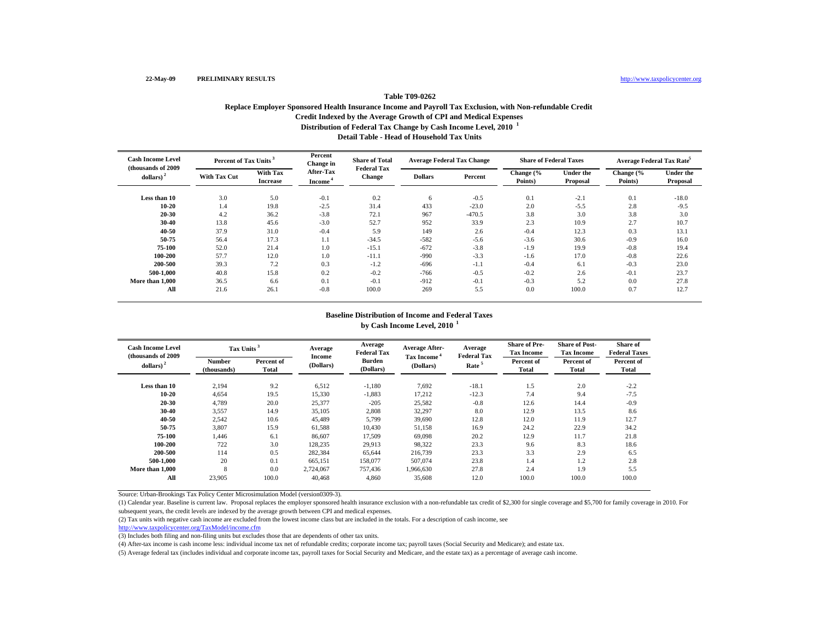# **Distribution of Federal Tax Change by Cash Income Level, 2010 <sup>1</sup> Detail Table - Head of Household Tax UnitsTable T09-0262 Replace Employer Sponsored Health Insurance Income and Payroll Tax Exclusion, with Non-refundable Credit Credit Indexed by the Average Growth of CPI and Medical Expenses**

| <b>Cash Income Level</b><br>(thousands of 2009) |                     | Percent of Tax Units <sup>3</sup> |                     | <b>Share of Total</b><br><b>Federal Tax</b> | <b>Average Federal Tax Change</b> |          | <b>Share of Federal Taxes</b> |                              | Average Federal Tax Rate <sup>5</sup> |                       |
|-------------------------------------------------|---------------------|-----------------------------------|---------------------|---------------------------------------------|-----------------------------------|----------|-------------------------------|------------------------------|---------------------------------------|-----------------------|
| $\boldsymbol{\mathrm{dollars}}$ ) <sup>2</sup>  | <b>With Tax Cut</b> | With Tax<br><b>Increase</b>       | After-Tax<br>Income | <b>Change</b>                               | <b>Dollars</b>                    | Percent  | Change (%<br>Points)          | <b>Under the</b><br>Proposal | Change (%<br>Points)                  | Under the<br>Proposal |
| Less than 10                                    | 3.0                 | 5.0                               | $-0.1$              | 0.2                                         | 6                                 | $-0.5$   | 0.1                           | $-2.1$                       | 0.1                                   | $-18.0$               |
| $10 - 20$                                       | 1.4                 | 19.8                              | $-2.5$              | 31.4                                        | 433                               | $-23.0$  | 2.0                           | $-5.5$                       | 2.8                                   | $-9.5$                |
| 20-30                                           | 4.2                 | 36.2                              | $-3.8$              | 72.1                                        | 967                               | $-470.5$ | 3.8                           | 3.0                          | 3.8                                   | 3.0                   |
| 30-40                                           | 13.8                | 45.6                              | $-3.0$              | 52.7                                        | 952                               | 33.9     | 2.3                           | 10.9                         | 2.7                                   | 10.7                  |
| 40-50                                           | 37.9                | 31.0                              | $-0.4$              | 5.9                                         | 149                               | 2.6      | $-0.4$                        | 12.3                         | 0.3                                   | 13.1                  |
| 50-75                                           | 56.4                | 17.3                              | 1.1                 | $-34.5$                                     | $-582$                            | $-5.6$   | $-3.6$                        | 30.6                         | $-0.9$                                | 16.0                  |
| 75-100                                          | 52.0                | 21.4                              | 1.0                 | $-15.1$                                     | $-672$                            | $-3.8$   | $-1.9$                        | 19.9                         | $-0.8$                                | 19.4                  |
| 100-200                                         | 57.7                | 12.0                              | 1.0                 | $-11.1$                                     | $-990$                            | $-3.3$   | $-1.6$                        | 17.0                         | $-0.8$                                | 22.6                  |
| 200-500                                         | 39.3                | 7.2                               | 0.3                 | $-1.2$                                      | $-696$                            | $-1.1$   | $-0.4$                        | 6.1                          | $-0.3$                                | 23.0                  |
| 500-1.000                                       | 40.8                | 15.8                              | 0.2                 | $-0.2$                                      | $-766$                            | $-0.5$   | $-0.2$                        | 2.6                          | $-0.1$                                | 23.7                  |
| More than 1,000                                 | 36.5                | 6.6                               | 0.1                 | $-0.1$                                      | $-912$                            | $-0.1$   | $-0.3$                        | 5.2                          | 0.0                                   | 27.8                  |
| All                                             | 21.6                | 26.1                              | $-0.8$              | 100.0                                       | 269                               | 5.5      | 0.0                           | 100.0                        | 0.7                                   | 12.7                  |

### **Baseline Distribution of Income and Federal Taxes by Cash Income Level, 2010 <sup>1</sup>**

| <b>Cash Income Level</b><br>(thousands of 2009) | Tax Units <sup>3</sup>       |                     | Average             | Average<br><b>Federal Tax</b> | <b>Average After-</b>                | Average<br><b>Federal Tax</b> | <b>Share of Pre-</b><br><b>Tax Income</b> | <b>Share of Post-</b><br><b>Tax Income</b> | <b>Share of</b><br><b>Federal Taxes</b> |
|-------------------------------------------------|------------------------------|---------------------|---------------------|-------------------------------|--------------------------------------|-------------------------------|-------------------------------------------|--------------------------------------------|-----------------------------------------|
| dollars) <sup>2</sup>                           | <b>Number</b><br>(thousands) | Percent of<br>Total | Income<br>(Dollars) | Burden<br>(Dollars)           | Tax Income <sup>*</sup><br>(Dollars) | Rate <sup>5</sup>             | Percent of<br><b>Total</b>                | Percent of<br>Total                        | Percent of<br><b>Total</b>              |
| Less than 10                                    | 2,194                        | 9.2                 | 6,512               | $-1,180$                      | 7,692                                | $-18.1$                       | 1.5                                       | 2.0                                        | $-2.2$                                  |
| 10-20                                           | 4,654                        | 19.5                | 15,330              | $-1,883$                      | 17,212                               | $-12.3$                       | 7.4                                       | 9.4                                        | $-7.5$                                  |
| 20-30                                           | 4,789                        | 20.0                | 25,377              | $-205$                        | 25,582                               | $-0.8$                        | 12.6                                      | 14.4                                       | $-0.9$                                  |
| 30-40                                           | 3,557                        | 14.9                | 35,105              | 2,808                         | 32,297                               | 8.0                           | 12.9                                      | 13.5                                       | 8.6                                     |
| 40-50                                           | 2,542                        | 10.6                | 45,489              | 5,799                         | 39,690                               | 12.8                          | 12.0                                      | 11.9                                       | 12.7                                    |
| 50-75                                           | 3,807                        | 15.9                | 61,588              | 10,430                        | 51,158                               | 16.9                          | 24.2                                      | 22.9                                       | 34.2                                    |
| 75-100                                          | 1.446                        | 6.1                 | 86,607              | 17.509                        | 69,098                               | 20.2                          | 12.9                                      | 11.7                                       | 21.8                                    |
| 100-200                                         | 722                          | 3.0                 | 128,235             | 29.913                        | 98,322                               | 23.3                          | 9.6                                       | 8.3                                        | 18.6                                    |
| 200-500                                         | 114                          | 0.5                 | 282,384             | 65,644                        | 216,739                              | 23.3                          | 3.3                                       | 2.9                                        | 6.5                                     |
| 500-1.000                                       | 20                           | 0.1                 | 665,151             | 158,077                       | 507,074                              | 23.8                          | 1.4                                       | 1.2                                        | 2.8                                     |
| More than 1,000                                 | 8                            | 0.0                 | 2,724,067           | 757,436                       | 1,966,630                            | 27.8                          | 2.4                                       | 1.9                                        | 5.5                                     |
| All                                             | 23.905                       | 100.0               | 40.468              | 4.860                         | 35,608                               | 12.0                          | 100.0                                     | 100.0                                      | 100.0                                   |

Source: Urban-Brookings Tax Policy Center Microsimulation Model (version0309-3).

(1) Calendar year. Baseline is current law. Proposal replaces the employer sponsored health insurance exclusion with a non-refundable tax credit of \$2,300 for single coverage and \$5,700 for family coverage in 2010. For subsequent years, the credit levels are indexed by the average growth between CPI and medical expenses.

(2) Tax units with negative cash income are excluded from the lowest income class but are included in the totals. For a description of cash income, see

http://www.taxpolicycenter.org/TaxModel/income.cfm

(3) Includes both filing and non-filing units but excludes those that are dependents of other tax units.

(4) After-tax income is cash income less: individual income tax net of refundable credits; corporate income tax; payroll taxes (Social Security and Medicare); and estate tax.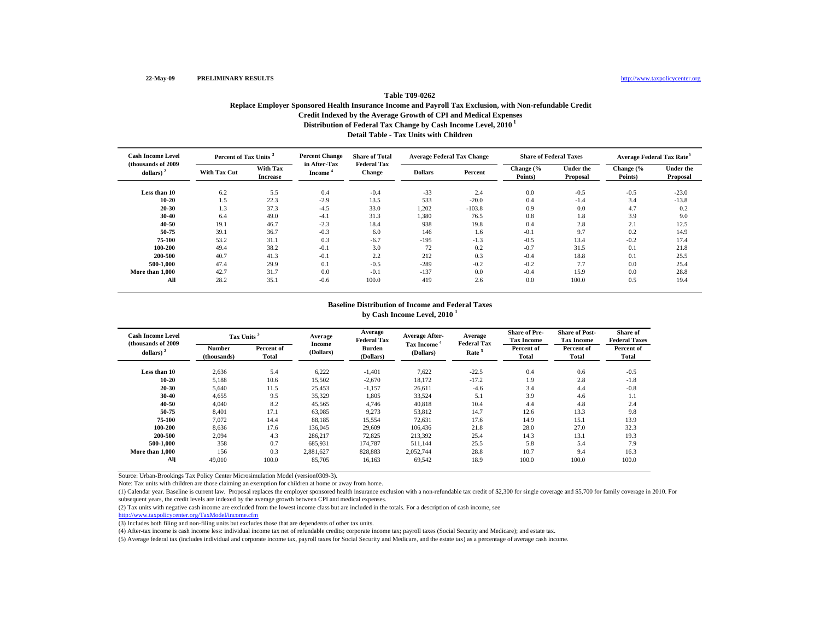# **Distribution of Federal Tax Change by Cash Income Level, 2010 1 Detail Table - Tax Units with Children Table T09-0262Replace Employer Sponsored Health Insurance Income and Payroll Tax Exclusion, with Non-refundable Credit Credit Indexed by the Average Growth of CPI and Medical Expenses**

| <b>Cash Income Level</b><br>(thousands of 2009) | Percent of Tax Units <sup>3</sup> |                             | <b>Percent Change</b><br>in After-Tax | <b>Share of Total</b><br><b>Federal Tax</b> | <b>Average Federal Tax Change</b> |          | <b>Share of Federal Taxes</b> |                              | <b>Average Federal Tax Rate<sup>5</sup></b> |                       |
|-------------------------------------------------|-----------------------------------|-----------------------------|---------------------------------------|---------------------------------------------|-----------------------------------|----------|-------------------------------|------------------------------|---------------------------------------------|-----------------------|
| dollars) $2$                                    | <b>With Tax Cut</b>               | With Tax<br><b>Increase</b> | <b>Income</b>                         | <b>Change</b>                               | <b>Dollars</b>                    | Percent  | Change (%<br>Points)          | <b>Under the</b><br>Proposal | Change (%<br>Points)                        | Under the<br>Proposal |
| Less than 10                                    | 6.2                               | 5.5                         | 0.4                                   | $-0.4$                                      | $-33$                             | 2.4      | 0.0                           | $-0.5$                       | $-0.5$                                      | $-23.0$               |
| $10 - 20$                                       | 1.5                               | 22.3                        | $-2.9$                                | 13.5                                        | 533                               | $-20.0$  | 0.4                           | $-1.4$                       | 3.4                                         | $-13.8$               |
| $20 - 30$                                       | 1.3                               | 37.3                        | $-4.5$                                | 33.0                                        | 1,202                             | $-103.8$ | 0.9                           | 0.0                          | 4.7                                         | 0.2                   |
| 30-40                                           | 6.4                               | 49.0                        | $-4.1$                                | 31.3                                        | 1,380                             | 76.5     | 0.8                           | 1.8                          | 3.9                                         | 9.0                   |
| 40-50                                           | 19.1                              | 46.7                        | $-2.3$                                | 18.4                                        | 938                               | 19.8     | 0.4                           | 2.8                          | 2.1                                         | 12.5                  |
| 50-75                                           | 39.1                              | 36.7                        | $-0.3$                                | 6.0                                         | 146                               | 1.6      | $-0.1$                        | 9.7                          | 0.2                                         | 14.9                  |
| 75-100                                          | 53.2                              | 31.1                        | 0.3                                   | $-6.7$                                      | $-195$                            | $-1.3$   | $-0.5$                        | 13.4                         | $-0.2$                                      | 17.4                  |
| 100-200                                         | 49.4                              | 38.2                        | $-0.1$                                | 3.0                                         | 72                                | 0.2      | $-0.7$                        | 31.5                         | 0.1                                         | 21.8                  |
| 200-500                                         | 40.7                              | 41.3                        | $-0.1$                                | 2.2                                         | 212                               | 0.3      | $-0.4$                        | 18.8                         | 0.1                                         | 25.5                  |
| 500-1.000                                       | 47.4                              | 29.9                        | 0.1                                   | $-0.5$                                      | $-289$                            | $-0.2$   | $-0.2$                        | 7.7                          | 0.0                                         | 25.4                  |
| More than 1,000                                 | 42.7                              | 31.7                        | 0.0                                   | $-0.1$                                      | $-137$                            | 0.0      | $-0.4$                        | 15.9                         | 0.0                                         | 28.8                  |
| All                                             | 28.2                              | 35.1                        | $-0.6$                                | 100.0                                       | 419                               | 2.6      | 0.0                           | 100.0                        | 0.5                                         | 19.4                  |

#### **Baseline Distribution of Income and Federal Taxes by Cash Income Level, 2010 <sup>1</sup>**

| <b>Cash Income Level</b><br>(thousands of 2009) | Tax Units <sup>3</sup>       |                     | Average<br>Income | Average<br><b>Federal Tax</b> | <b>Average After-</b>     | Average<br><b>Federal Tax</b> | <b>Share of Pre-</b><br><b>Tax Income</b> | <b>Share of Post-</b><br><b>Tax Income</b> | Share of<br><b>Federal Taxes</b> |
|-------------------------------------------------|------------------------------|---------------------|-------------------|-------------------------------|---------------------------|-------------------------------|-------------------------------------------|--------------------------------------------|----------------------------------|
| dollars) $2$                                    | <b>Number</b><br>(thousands) | Percent of<br>Total | (Dollars)         | <b>Burden</b><br>(Dollars)    | Tax Income *<br>(Dollars) | Rate <sup>5</sup>             | Percent of<br>Total                       | Percent of<br>Total                        | Percent of<br>Total              |
| Less than 10                                    | 2,636                        | 5.4                 | 6,222             | $-1,401$                      | 7,622                     | $-22.5$                       | 0.4                                       | 0.6                                        | $-0.5$                           |
| $10 - 20$                                       | 5,188                        | 10.6                | 15,502            | $-2,670$                      | 18,172                    | $-17.2$                       | 1.9                                       | 2.8                                        | $-1.8$                           |
| 20-30                                           | 5,640                        | 11.5                | 25,453            | $-1,157$                      | 26,611                    | $-4.6$                        | 3.4                                       | 4.4                                        | $-0.8$                           |
| 30-40                                           | 4,655                        | 9.5                 | 35,329            | 1,805                         | 33,524                    | 5.1                           | 3.9                                       | 4.6                                        | 1.1                              |
| 40-50                                           | 4.040                        | 8.2                 | 45,565            | 4,746                         | 40,818                    | 10.4                          | 4.4                                       | 4.8                                        | 2.4                              |
| 50-75                                           | 8,401                        | 17.1                | 63,085            | 9,273                         | 53,812                    | 14.7                          | 12.6                                      | 13.3                                       | 9.8                              |
| 75-100                                          | 7,072                        | 14.4                | 88,185            | 15,554                        | 72,631                    | 17.6                          | 14.9                                      | 15.1                                       | 13.9                             |
| 100-200                                         | 8.636                        | 17.6                | 136,045           | 29,609                        | 106,436                   | 21.8                          | 28.0                                      | 27.0                                       | 32.3                             |
| 200-500                                         | 2.094                        | 4.3                 | 286,217           | 72,825                        | 213.392                   | 25.4                          | 14.3                                      | 13.1                                       | 19.3                             |
| 500-1.000                                       | 358                          | 0.7                 | 685,931           | 174,787                       | 511.144                   | 25.5                          | 5.8                                       | 5.4                                        | 7.9                              |
| More than 1,000                                 | 156                          | 0.3                 | 2,881,627         | 828.883                       | 2,052,744                 | 28.8                          | 10.7                                      | 9.4                                        | 16.3                             |
| All                                             | 49,010                       | 100.0               | 85,705            | 16,163                        | 69,542                    | 18.9                          | 100.0                                     | 100.0                                      | 100.0                            |

Source: Urban-Brookings Tax Policy Center Microsimulation Model (version0309-3).

Note: Tax units with children are those claiming an exemption for children at home or away from home.

(1) Calendar year. Baseline is current law. Proposal replaces the employer sponsored health insurance exclusion with a non-refundable tax credit of \$2,300 for single coverage and \$5,700 for family coverage in 2010. For subsequent years, the credit levels are indexed by the average growth between CPI and medical expenses.

(2) Tax units with negative cash income are excluded from the lowest income class but are included in the totals. For a description of cash income, see

http://www.taxpolicycenter.org/TaxModel/income.cfm

(3) Includes both filing and non-filing units but excludes those that are dependents of other tax units.

(4) After-tax income is cash income less: individual income tax net of refundable credits; corporate income tax; payroll taxes (Social Security and Medicare); and estate tax.